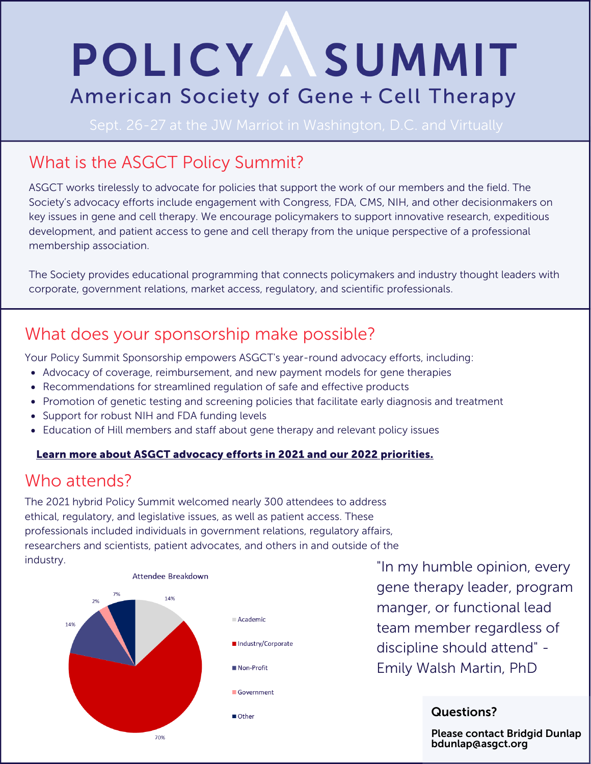# POLICY ASUMMIT American Society of Gene + Cell Therapy

## What is the ASGCT Policy Summit?

ASGCT works tirelessly to advocate for policies that support the work of our members and the field. The Society's advocacy efforts include engagement with Congress, FDA, CMS, NIH, and other decisionmakers on key issues in gene and cell therapy. We encourage policymakers to support innovative research, expeditious development, and patient access to gene and cell therapy from the unique perspective of a professional membership association.

The Society provides educational programming that connects policymakers and industry thought leaders with corporate, government relations, market access, regulatory, and scientific professionals.

## What does your sponsorship make possible?

Your Policy Summit Sponsorship empowers ASGCT's year-round advocacy efforts, including:

- Advocacy of coverage, reimbursement, and new payment models for gene therapies
- Recommendations for streamlined regulation of safe and effective products
- Promotion of genetic testing and screening policies that facilitate early diagnosis and treatment
- Support for robust NIH and FDA funding levels
- Education of Hill members and staff about gene therapy and relevant policy issues

#### Learn more about ASGCT advocacy efforts in 2021 and our 2022 [priorities.](https://asgct.org/advocacy/policy-summit)

### Who attends?

The 2021 hybrid Policy Summit welcomed nearly 300 attendees to address ethical, regulatory, and legislative issues, as well as patient access. These professionals included individuals in government relations, regulatory affairs, researchers and scientists, patient advocates, and others in and outside of the industry.



"In my humble opinion, every gene therapy leader, program manger, or functional lead team member regardless of discipline should attend" - Emily Walsh Martin, PhD

#### Questions?

Please contact Bridgid Dunlap bdunlap@asgct.org